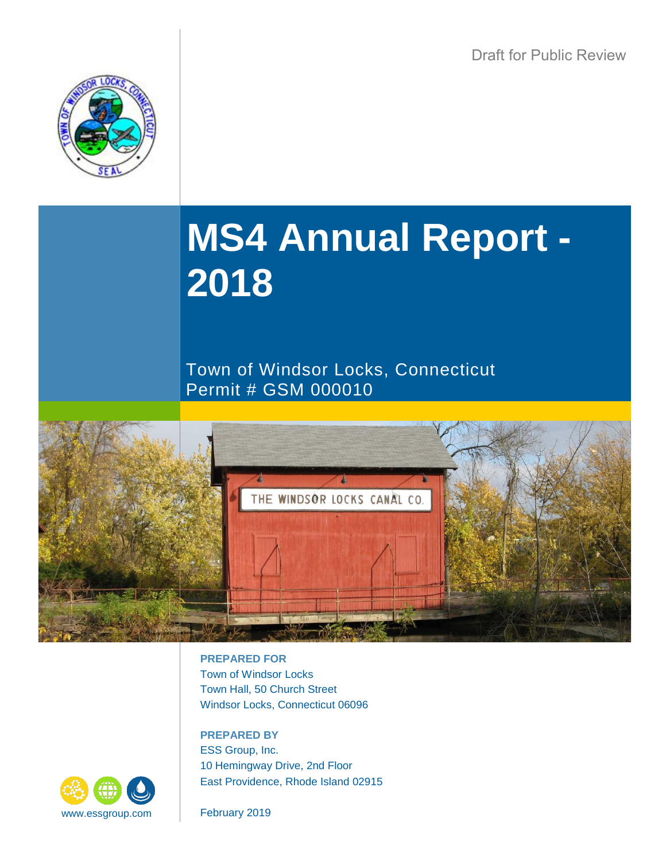

# **MS4 Annual Report - 2018**

Town of Windsor Locks, Connecticut Permit # GSM 000010



**PREPARED FOR** Town of Windsor Locks Town Hall, 50 Church Street Windsor Locks, Connecticut 06096

**PREPARED BY** ESS Group, Inc. 10 Hemingway Drive, 2nd Floor East Providence, Rhode Island 02915

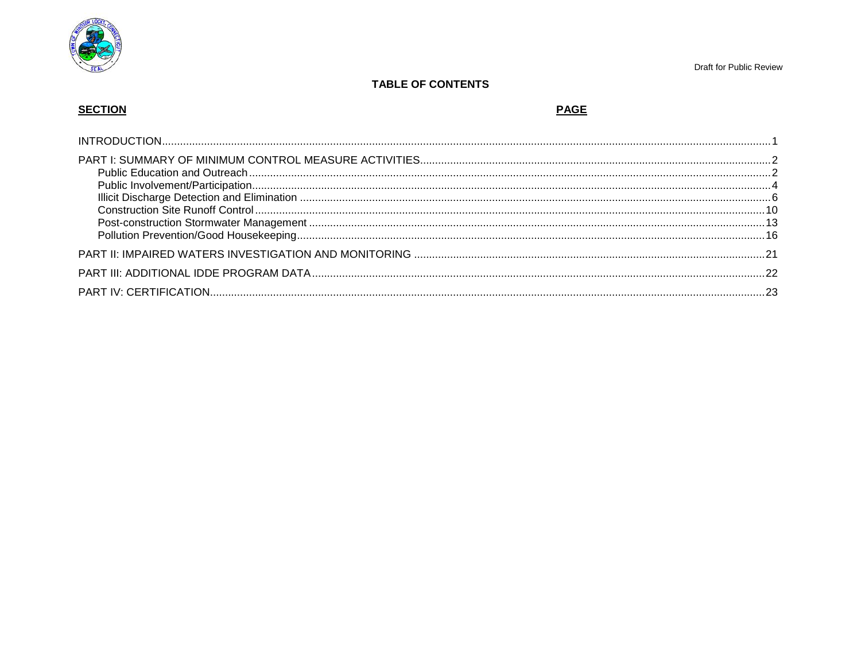

# **TABLE OF CONTENTS**

# **SECTION**

# **PAGE**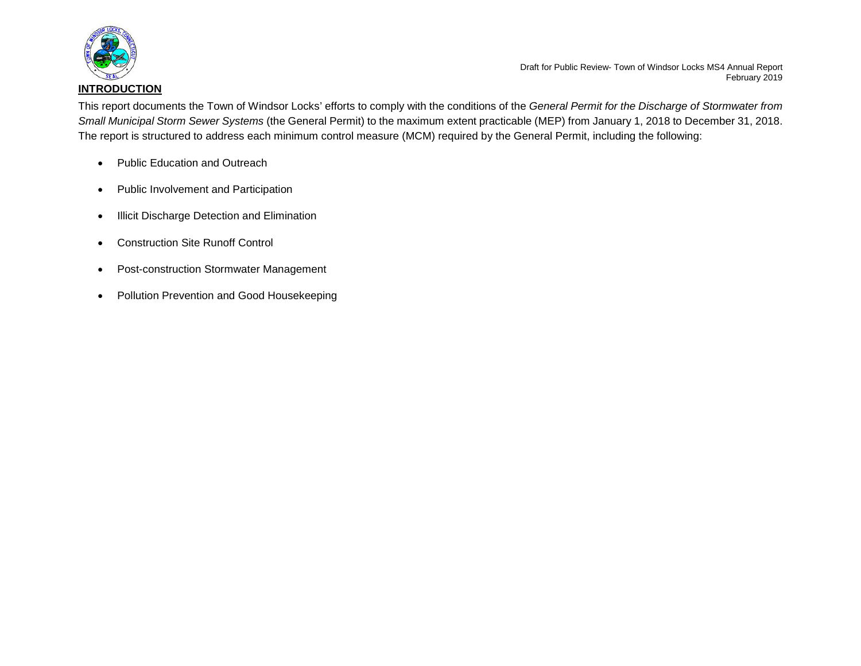

<span id="page-2-0"></span>This report documents the Town of Windsor Locks' efforts to comply with the conditions of the *General Permit for the Discharge of Stormwater from Small Municipal Storm Sewer Systems* (the General Permit) to the maximum extent practicable (MEP) from January 1, 2018 to December 31, 2018. The report is structured to address each minimum control measure (MCM) required by the General Permit, including the following:

- Public Education and Outreach
- Public Involvement and Participation
- Illicit Discharge Detection and Elimination
- Construction Site Runoff Control
- Post-construction Stormwater Management
- Pollution Prevention and Good Housekeeping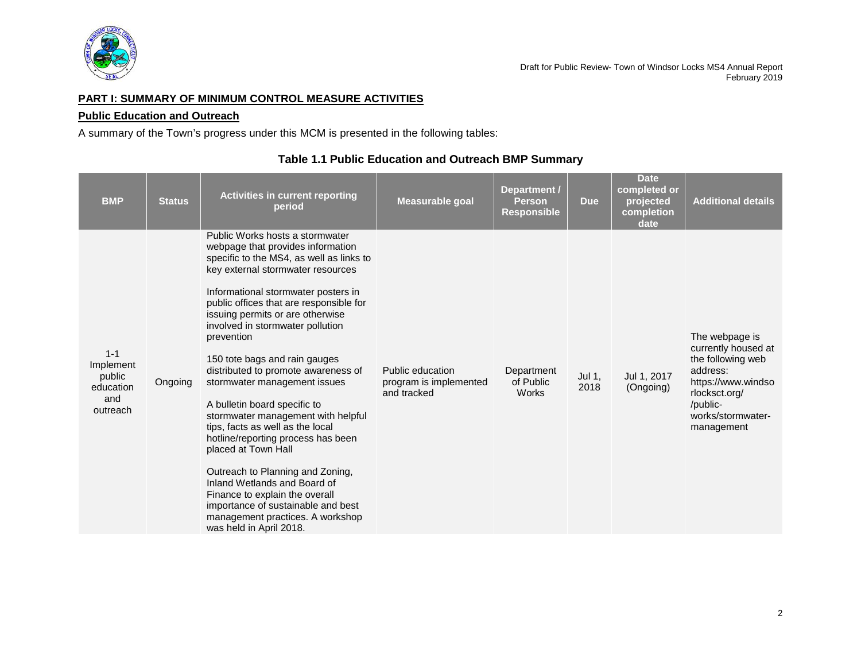

# <span id="page-3-0"></span>**PART I: SUMMARY OF MINIMUM CONTROL MEASURE ACTIVITIES**

# <span id="page-3-1"></span>**Public Education and Outreach**

A summary of the Town's progress under this MCM is presented in the following tables:

| <b>BMP</b>                                                     | <b>Status</b> | <b>Activities in current reporting</b><br>period                                                                                                                                                                                                                                                                                                                                                                                                                                                                                                                                                                                                                                                                                                                                                                        | <b>Measurable goal</b>                                    | Department /<br><b>Person</b><br><b>Responsible</b> | <b>Due</b>     | <b>Date</b><br>completed or<br>projected<br>completion<br>date | <b>Additional details</b>                                                                                                                                    |
|----------------------------------------------------------------|---------------|-------------------------------------------------------------------------------------------------------------------------------------------------------------------------------------------------------------------------------------------------------------------------------------------------------------------------------------------------------------------------------------------------------------------------------------------------------------------------------------------------------------------------------------------------------------------------------------------------------------------------------------------------------------------------------------------------------------------------------------------------------------------------------------------------------------------------|-----------------------------------------------------------|-----------------------------------------------------|----------------|----------------------------------------------------------------|--------------------------------------------------------------------------------------------------------------------------------------------------------------|
| $1 - 1$<br>Implement<br>public<br>education<br>and<br>outreach | Ongoing       | Public Works hosts a stormwater<br>webpage that provides information<br>specific to the MS4, as well as links to<br>key external stormwater resources<br>Informational stormwater posters in<br>public offices that are responsible for<br>issuing permits or are otherwise<br>involved in stormwater pollution<br>prevention<br>150 tote bags and rain gauges<br>distributed to promote awareness of<br>stormwater management issues<br>A bulletin board specific to<br>stormwater management with helpful<br>tips, facts as well as the local<br>hotline/reporting process has been<br>placed at Town Hall<br>Outreach to Planning and Zoning,<br>Inland Wetlands and Board of<br>Finance to explain the overall<br>importance of sustainable and best<br>management practices. A workshop<br>was held in April 2018. | Public education<br>program is implemented<br>and tracked | Department<br>of Public<br><b>Works</b>             | Jul 1,<br>2018 | Jul 1, 2017<br>(Ongoing)                                       | The webpage is<br>currently housed at<br>the following web<br>address:<br>https://www.windso<br>rlocksct.org/<br>/public-<br>works/stormwater-<br>management |

# **Table 1.1 Public Education and Outreach BMP Summary**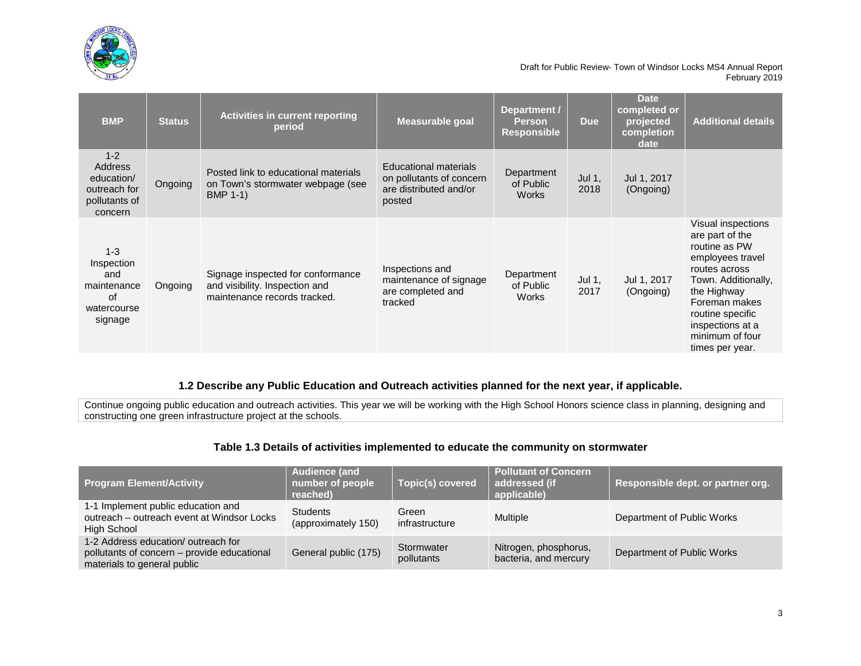

| <b>BMP</b>                                                                   | <b>Status</b> | <b>Activities in current reporting</b><br>period                                                    | Measurable goal                                                                       | Department /<br><b>Person</b><br><b>Responsible</b> | <b>Due</b>     | <b>Date</b><br>completed or<br>projected<br>completion<br>date | <b>Additional details</b>                                                                                                                                                                                                        |
|------------------------------------------------------------------------------|---------------|-----------------------------------------------------------------------------------------------------|---------------------------------------------------------------------------------------|-----------------------------------------------------|----------------|----------------------------------------------------------------|----------------------------------------------------------------------------------------------------------------------------------------------------------------------------------------------------------------------------------|
| $1 - 2$<br>Address<br>education/<br>outreach for<br>pollutants of<br>concern | Ongoing       | Posted link to educational materials<br>on Town's stormwater webpage (see<br><b>BMP 1-1)</b>        | Educational materials<br>on pollutants of concern<br>are distributed and/or<br>posted | Department<br>of Public<br><b>Works</b>             | Jul 1,<br>2018 | Jul 1, 2017<br>(Ongoing)                                       |                                                                                                                                                                                                                                  |
| $1 - 3$<br>Inspection<br>and<br>maintenance<br>0f<br>watercourse<br>signage  | Ongoing       | Signage inspected for conformance<br>and visibility. Inspection and<br>maintenance records tracked. | Inspections and<br>maintenance of signage<br>are completed and<br>tracked             | Department<br>of Public<br><b>Works</b>             | Jul 1,<br>2017 | Jul 1, 2017<br>(Ongoing)                                       | Visual inspections<br>are part of the<br>routine as PW<br>employees travel<br>routes across<br>Town. Additionally,<br>the Highway<br>Foreman makes<br>routine specific<br>inspections at a<br>minimum of four<br>times per year. |

# **1.2 Describe any Public Education and Outreach activities planned for the next year, if applicable.**

Continue ongoing public education and outreach activities. This year we will be working with the High School Honors science class in planning, designing and constructing one green infrastructure project at the schools.

# **Table 1.3 Details of activities implemented to educate the community on stormwater**

| <b>Program Element/Activity</b>                                                                                  | <b>Audience (and</b><br>number of people<br>reached) | Topic(s) covered         | <b>Pollutant of Concern</b><br>addressed (if<br>applicable) | Responsible dept. or partner org. |
|------------------------------------------------------------------------------------------------------------------|------------------------------------------------------|--------------------------|-------------------------------------------------------------|-----------------------------------|
| 1-1 Implement public education and<br>outreach – outreach event at Windsor Locks<br>High School                  | <b>Students</b><br>(approximately 150)               | Green<br>infrastructure  | Multiple                                                    | Department of Public Works        |
| 1-2 Address education/outreach for<br>pollutants of concern – provide educational<br>materials to general public | General public (175)                                 | Stormwater<br>pollutants | Nitrogen, phosphorus,<br>bacteria, and mercury              | Department of Public Works        |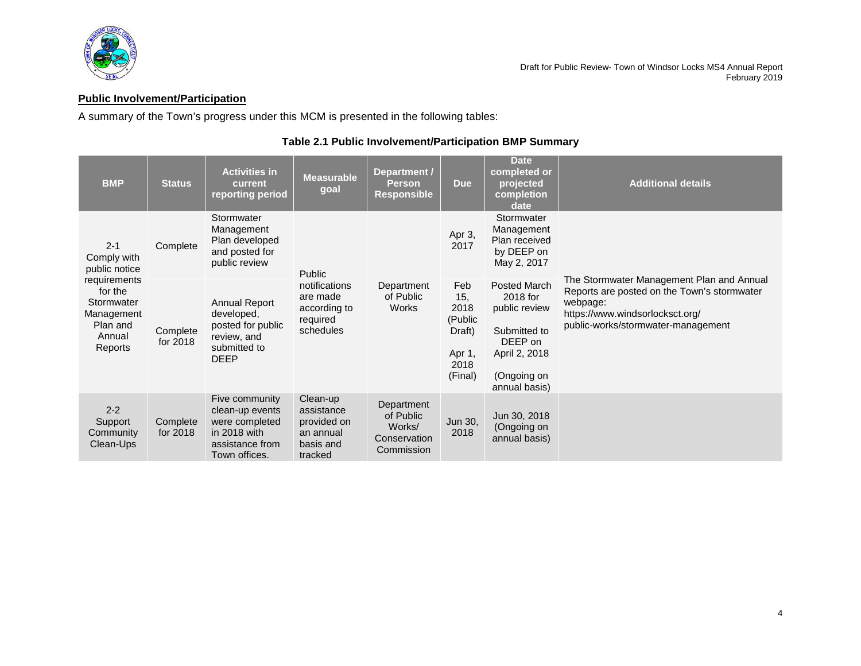

# <span id="page-5-0"></span>**Public Involvement/Participation**

A summary of the Town's progress under this MCM is presented in the following tables:

| <b>BMP</b>                                                                           | <b>Status</b>        | <b>Activities in</b><br>current<br>reporting period                                                     | <b>Measurable</b><br>goal                                                                                     | Department /<br><b>Person</b><br><b>Responsible</b>             | <b>Due</b>                                                           | <b>Date</b><br>completed or<br>projected<br>completion<br>date                                                        | <b>Additional details</b>                                                                                                                                                     |  |
|--------------------------------------------------------------------------------------|----------------------|---------------------------------------------------------------------------------------------------------|---------------------------------------------------------------------------------------------------------------|-----------------------------------------------------------------|----------------------------------------------------------------------|-----------------------------------------------------------------------------------------------------------------------|-------------------------------------------------------------------------------------------------------------------------------------------------------------------------------|--|
| $2 - 1$<br>Comply with<br>public notice                                              | Complete             | Stormwater<br>Management<br>Plan developed<br>and posted for<br>public review                           | Public                                                                                                        |                                                                 | Apr 3,<br>2017                                                       | Stormwater<br>Management<br>Plan received<br>by DEEP on<br>May 2, 2017                                                |                                                                                                                                                                               |  |
| requirements<br>for the<br>Stormwater<br>Management<br>Plan and<br>Annual<br>Reports | Complete<br>for 2018 | <b>Annual Report</b><br>developed,<br>posted for public<br>review, and<br>submitted to<br><b>DEEP</b>   | notifications<br>Department<br>of Public<br>are made<br>according to<br><b>Works</b><br>required<br>schedules |                                                                 | Feb<br>15,<br>2018<br>(Public<br>Draft)<br>Apr 1,<br>2018<br>(Final) | Posted March<br>2018 for<br>public review<br>Submitted to<br>DEEP on<br>April 2, 2018<br>(Ongoing on<br>annual basis) | The Stormwater Management Plan and Annual<br>Reports are posted on the Town's stormwater<br>webpage:<br>https://www.windsorlocksct.org/<br>public-works/stormwater-management |  |
| $2 - 2$<br>Support<br>Community<br>Clean-Ups                                         | Complete<br>for 2018 | Five community<br>clean-up events<br>were completed<br>in 2018 with<br>assistance from<br>Town offices. | Clean-up<br>assistance<br>provided on<br>an annual<br>basis and<br>tracked                                    | Department<br>of Public<br>Works/<br>Conservation<br>Commission | Jun 30,<br>2018                                                      | Jun 30, 2018<br>(Ongoing on<br>annual basis)                                                                          |                                                                                                                                                                               |  |

# **Table 2.1 Public Involvement/Participation BMP Summary**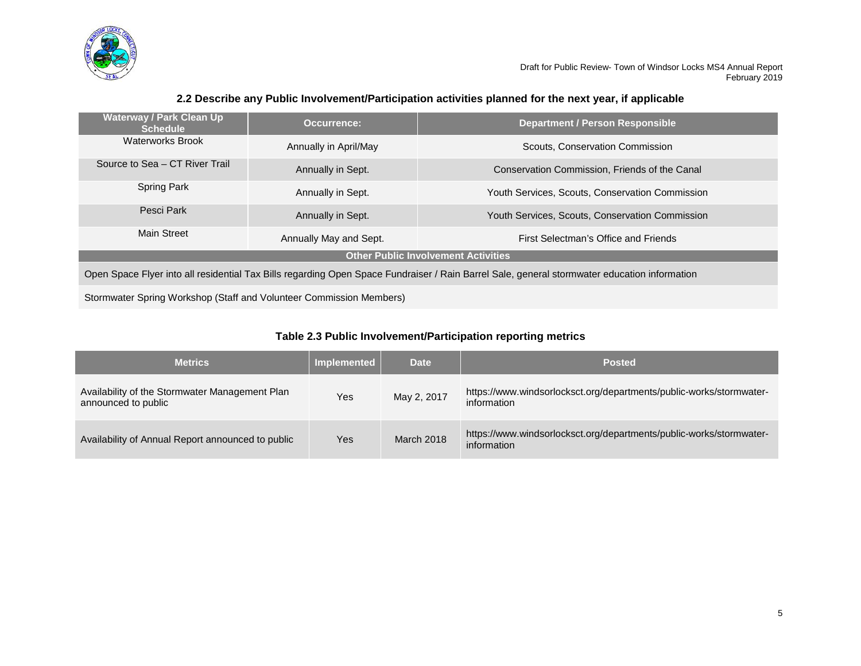

# **2.2 Describe any Public Involvement/Participation activities planned for the next year, if applicable**

| <u>Waterway / Park Clean Up </u><br><b>Schedule</b>                                                                                          | Occurrence:           | <b>Department / Person Responsible</b>          |  |  |  |
|----------------------------------------------------------------------------------------------------------------------------------------------|-----------------------|-------------------------------------------------|--|--|--|
| <b>Waterworks Brook</b>                                                                                                                      | Annually in April/May | Scouts, Conservation Commission                 |  |  |  |
| Source to Sea - CT River Trail                                                                                                               | Annually in Sept.     | Conservation Commission, Friends of the Canal   |  |  |  |
| <b>Spring Park</b>                                                                                                                           | Annually in Sept.     | Youth Services, Scouts, Conservation Commission |  |  |  |
| Pesci Park                                                                                                                                   | Annually in Sept.     | Youth Services, Scouts, Conservation Commission |  |  |  |
| Main Street<br>Annually May and Sept.<br>First Selectman's Office and Friends                                                                |                       |                                                 |  |  |  |
|                                                                                                                                              |                       | <b>Other Public Involvement Activities</b>      |  |  |  |
| Open Space Flyer into all residential Tax Bills regarding Open Space Fundraiser / Rain Barrel Sale, general stormwater education information |                       |                                                 |  |  |  |
| Stormwater Spring Workshop (Staff and Volunteer Commission Members)                                                                          |                       |                                                 |  |  |  |

# **Table 2.3 Public Involvement/Participation reporting metrics**

| <b>Metrics</b>                                                        | <b>Implemented</b> | <b>Date</b> | <b>Posted</b>                                                                      |
|-----------------------------------------------------------------------|--------------------|-------------|------------------------------------------------------------------------------------|
| Availability of the Stormwater Management Plan<br>announced to public | Yes                | May 2, 2017 | https://www.windsorlocksct.org/departments/public-works/stormwater-<br>information |
| Availability of Annual Report announced to public                     | Yes                | March 2018  | https://www.windsorlocksct.org/departments/public-works/stormwater-<br>information |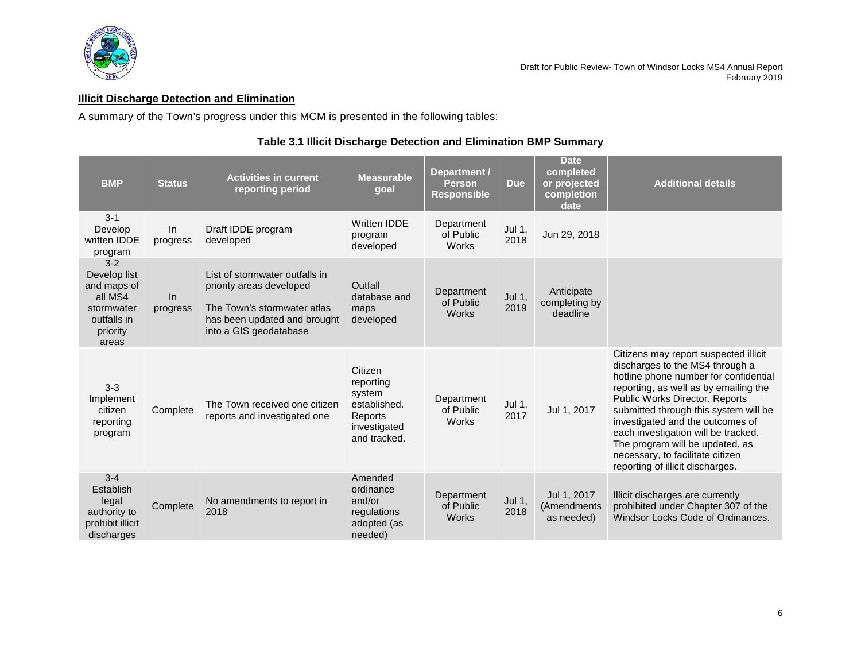

# <span id="page-7-0"></span>**Illicit Discharge Detection and Elimination**

A summary of the Town's progress under this MCM is presented in the following tables:

# **Table 3.1 Illicit Discharge Detection and Elimination BMP Summary**

| <b>BMP</b>                                                                                        | <b>Status</b>   | <b>Activities in current</b><br>reporting period                                                                                                    | <b>Measurable</b><br>goal                                                                 | Department /<br><b>Person</b><br><b>Responsible</b> | <b>Due</b>     | <b>Date</b><br>completed<br>or projected<br>completion<br>date | <b>Additional details</b>                                                                                                                                                                                                                                                                                                                                                                                                   |
|---------------------------------------------------------------------------------------------------|-----------------|-----------------------------------------------------------------------------------------------------------------------------------------------------|-------------------------------------------------------------------------------------------|-----------------------------------------------------|----------------|----------------------------------------------------------------|-----------------------------------------------------------------------------------------------------------------------------------------------------------------------------------------------------------------------------------------------------------------------------------------------------------------------------------------------------------------------------------------------------------------------------|
| $3 - 1$<br>Develop<br>written IDDE<br>program                                                     | In.<br>progress | Draft IDDE program<br>developed                                                                                                                     | <b>Written IDDE</b><br>program<br>developed                                               | Department<br>of Public<br><b>Works</b>             | Jul 1,<br>2018 | Jun 29, 2018                                                   |                                                                                                                                                                                                                                                                                                                                                                                                                             |
| $3-2$<br>Develop list<br>and maps of<br>all MS4<br>stormwater<br>outfalls in<br>priority<br>areas | In<br>progress  | List of stormwater outfalls in<br>priority areas developed<br>The Town's stormwater atlas<br>has been updated and brought<br>into a GIS geodatabase | Outfall<br>database and<br>maps<br>developed                                              | Department<br>of Public<br><b>Works</b>             | Jul 1,<br>2019 | Anticipate<br>completing by<br>deadline                        |                                                                                                                                                                                                                                                                                                                                                                                                                             |
| $3 - 3$<br>Implement<br>citizen<br>reporting<br>program                                           | Complete        | The Town received one citizen<br>reports and investigated one                                                                                       | Citizen<br>reporting<br>system<br>established.<br>Reports<br>investigated<br>and tracked. | Department<br>of Public<br>Works                    | Jul 1,<br>2017 | Jul 1, 2017                                                    | Citizens may report suspected illicit<br>discharges to the MS4 through a<br>hotline phone number for confidential<br>reporting, as well as by emailing the<br>Public Works Director. Reports<br>submitted through this system will be<br>investigated and the outcomes of<br>each investigation will be tracked.<br>The program will be updated, as<br>necessary, to facilitate citizen<br>reporting of illicit discharges. |
| $3 - 4$<br>Establish<br>legal<br>authority to<br>prohibit illicit<br>discharges                   | Complete        | No amendments to report in<br>2018                                                                                                                  | Amended<br>ordinance<br>and/or<br>regulations<br>adopted (as<br>needed)                   | Department<br>of Public<br><b>Works</b>             | Jul 1,<br>2018 | Jul 1, 2017<br>(Amendments<br>as needed)                       | Illicit discharges are currently<br>prohibited under Chapter 307 of the<br>Windsor Locks Code of Ordinances.                                                                                                                                                                                                                                                                                                                |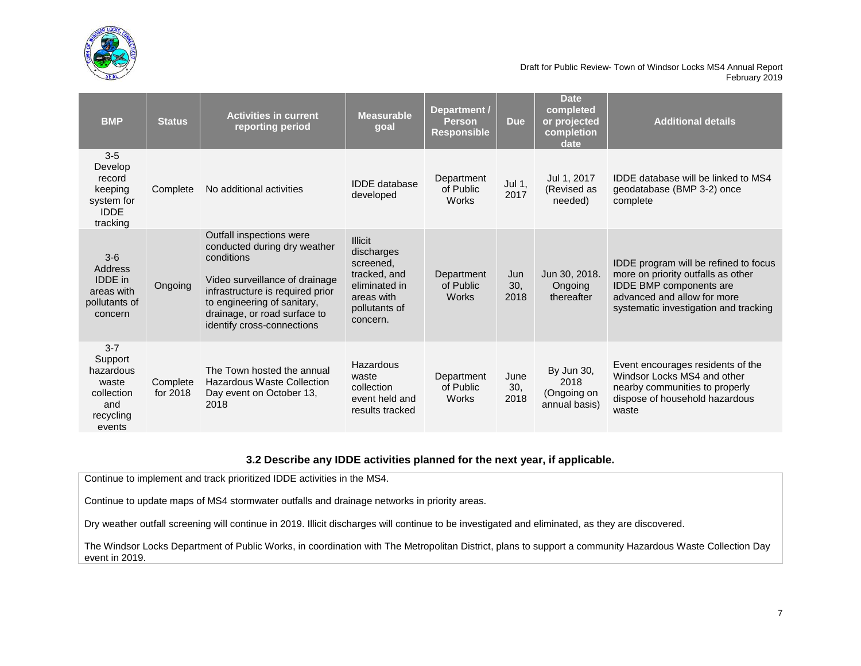

| <b>BMP</b>                                                                           | <b>Status</b>        | <b>Activities in current</b><br>reporting period                                                                                                                                                                                          | Measurable<br>goal                                                                                                    | Department /<br><b>Person</b><br><b>Responsible</b> | <b>Due</b>          | <b>Date</b><br>completed<br>or projected<br>completion<br>date | <b>Additional details</b>                                                                                                                                                      |
|--------------------------------------------------------------------------------------|----------------------|-------------------------------------------------------------------------------------------------------------------------------------------------------------------------------------------------------------------------------------------|-----------------------------------------------------------------------------------------------------------------------|-----------------------------------------------------|---------------------|----------------------------------------------------------------|--------------------------------------------------------------------------------------------------------------------------------------------------------------------------------|
| $3-5$<br>Develop<br>record<br>keeping<br>system for<br><b>IDDE</b><br>tracking       | Complete             | No additional activities                                                                                                                                                                                                                  | <b>IDDE</b> database<br>developed                                                                                     | Department<br>of Public<br>Works                    | Jul 1,<br>2017      | Jul 1, 2017<br>(Revised as<br>needed)                          | IDDE database will be linked to MS4<br>geodatabase (BMP 3-2) once<br>complete                                                                                                  |
| $3-6$<br>Address<br><b>IDDE</b> in<br>areas with<br>pollutants of<br>concern         | Ongoing              | Outfall inspections were<br>conducted during dry weather<br>conditions<br>Video surveillance of drainage<br>infrastructure is required prior<br>to engineering of sanitary,<br>drainage, or road surface to<br>identify cross-connections | <b>Illicit</b><br>discharges<br>screened,<br>tracked, and<br>eliminated in<br>areas with<br>pollutants of<br>concern. | Department<br>of Public<br>Works                    | Jun<br>30.<br>2018  | Jun 30, 2018.<br>Ongoing<br>thereafter                         | IDDE program will be refined to focus<br>more on priority outfalls as other<br>IDDE BMP components are<br>advanced and allow for more<br>systematic investigation and tracking |
| $3 - 7$<br>Support<br>hazardous<br>waste<br>collection<br>and<br>recycling<br>events | Complete<br>for 2018 | The Town hosted the annual<br><b>Hazardous Waste Collection</b><br>Day event on October 13,<br>2018                                                                                                                                       | Hazardous<br>waste<br>collection<br>event held and<br>results tracked                                                 | Department<br>of Public<br>Works                    | June<br>30,<br>2018 | By Jun 30,<br>2018<br>(Ongoing on<br>annual basis)             | Event encourages residents of the<br>Windsor Locks MS4 and other<br>nearby communities to properly<br>dispose of household hazardous<br>waste                                  |

## **3.2 Describe any IDDE activities planned for the next year, if applicable.**

Continue to implement and track prioritized IDDE activities in the MS4.

Continue to update maps of MS4 stormwater outfalls and drainage networks in priority areas.

Dry weather outfall screening will continue in 2019. Illicit discharges will continue to be investigated and eliminated, as they are discovered.

The Windsor Locks Department of Public Works, in coordination with The Metropolitan District, plans to support a community Hazardous Waste Collection Day event in 2019.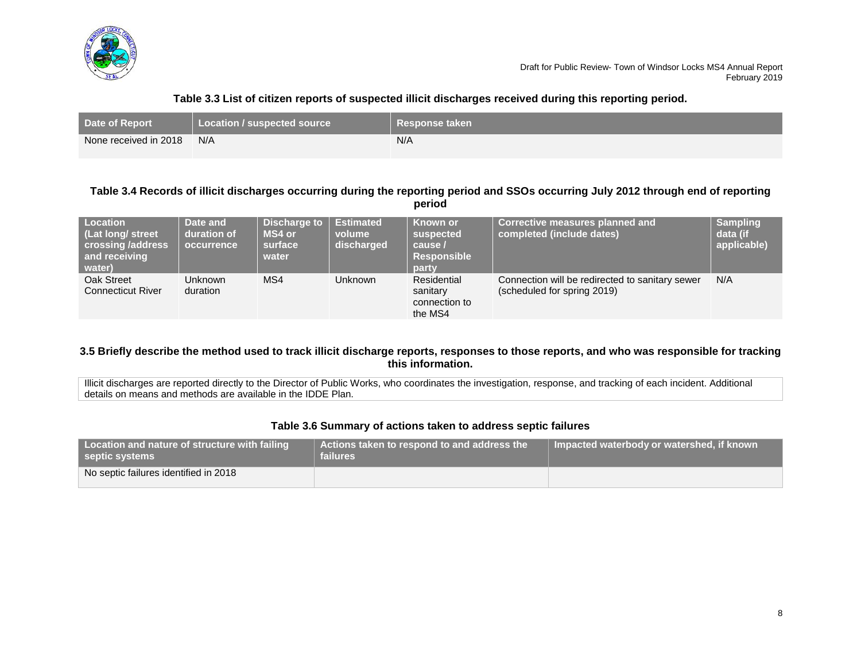

# **Table 3.3 List of citizen reports of suspected illicit discharges received during this reporting period.**

| <b>Date of Report</b> | Location / suspected source | ∣ Response taken |
|-----------------------|-----------------------------|------------------|
| None received in 2018 | N/A                         | N/A              |

## **Table 3.4 Records of illicit discharges occurring during the reporting period and SSOs occurring July 2012 through end of reporting period**

| <b>Location</b><br>(Lat long/ street<br>crossing /address<br>and receiving<br>water) | Date and<br>duration of<br>occurrence | Discharge to<br>MS4 or<br>surface<br>water | <b>Estimated</b><br>volume<br>discharged | Known or<br>suspected<br>cause /<br><b>Responsible</b><br>party | <b>Corrective measures planned and</b><br>completed (include dates)            | <b>Sampling</b><br>data (if<br>applicable) |
|--------------------------------------------------------------------------------------|---------------------------------------|--------------------------------------------|------------------------------------------|-----------------------------------------------------------------|--------------------------------------------------------------------------------|--------------------------------------------|
| Oak Street<br><b>Connecticut River</b>                                               | <b>Unknown</b><br>duration            | MS4                                        | <b>Unknown</b>                           | Residential<br>sanitary<br>connection to<br>the MS4             | Connection will be redirected to sanitary sewer<br>(scheduled for spring 2019) | N/A                                        |

## **3.5 Briefly describe the method used to track illicit discharge reports, responses to those reports, and who was responsible for tracking this information.**

Illicit discharges are reported directly to the Director of Public Works, who coordinates the investigation, response, and tracking of each incident. Additional details on means and methods are available in the IDDE Plan.

# **Table 3.6 Summary of actions taken to address septic failures**

| Location and nature of structure with failing<br>septic systems | Actions taken to respond to and address the<br><b>failures</b> | Impacted waterbody or watershed, if known |
|-----------------------------------------------------------------|----------------------------------------------------------------|-------------------------------------------|
| No septic failures identified in 2018                           |                                                                |                                           |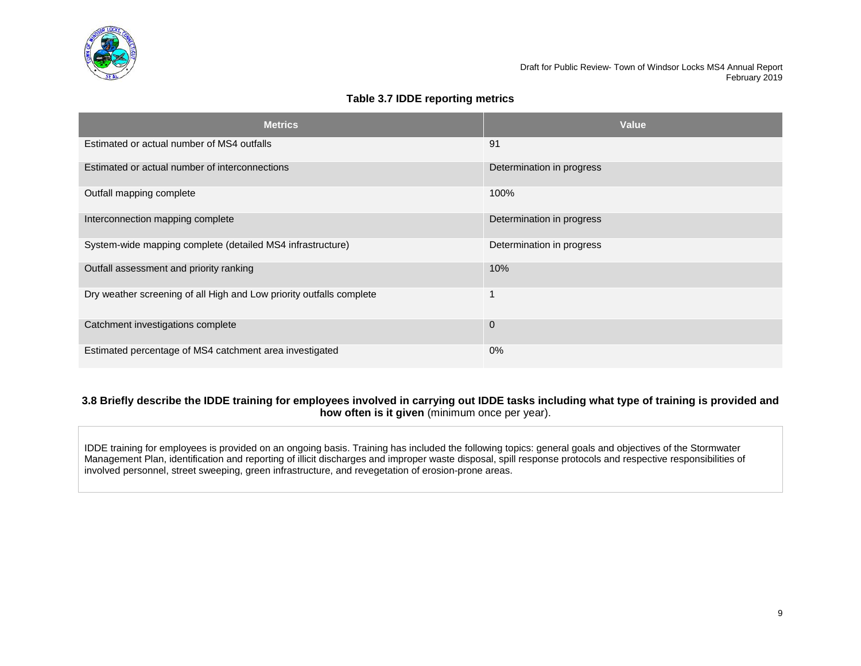

# **Table 3.7 IDDE reporting metrics**

| <b>Metrics</b>                                                       | Value                     |
|----------------------------------------------------------------------|---------------------------|
| Estimated or actual number of MS4 outfalls                           | 91                        |
| Estimated or actual number of interconnections                       | Determination in progress |
| Outfall mapping complete                                             | 100%                      |
| Interconnection mapping complete                                     | Determination in progress |
| System-wide mapping complete (detailed MS4 infrastructure)           | Determination in progress |
| Outfall assessment and priority ranking                              | 10%                       |
| Dry weather screening of all High and Low priority outfalls complete |                           |
| Catchment investigations complete                                    | $\Omega$                  |
| Estimated percentage of MS4 catchment area investigated              | $0\%$                     |

## **3.8 Briefly describe the IDDE training for employees involved in carrying out IDDE tasks including what type of training is provided and how often is it given** (minimum once per year).

IDDE training for employees is provided on an ongoing basis. Training has included the following topics: general goals and objectives of the Stormwater Management Plan, identification and reporting of illicit discharges and improper waste disposal, spill response protocols and respective responsibilities of involved personnel, street sweeping, green infrastructure, and revegetation of erosion-prone areas.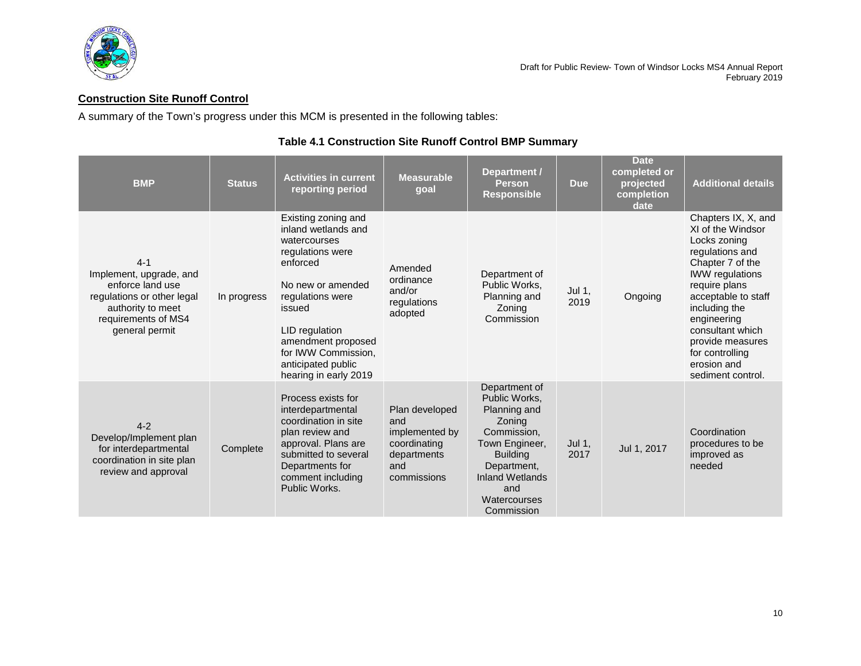

# <span id="page-11-0"></span>**Construction Site Runoff Control**

A summary of the Town's progress under this MCM is presented in the following tables:

| <b>BMP</b>                                                                                                                                         | <b>Status</b> | <b>Activities in current</b><br>reporting period                                                                                                                                                                                                            | <b>Measurable</b><br>goal                                                                    | Department /<br><b>Person</b><br><b>Responsible</b>                                                                                                                                        | <b>Due</b>     | <b>Date</b><br>completed or<br>projected<br>completion<br>date | <b>Additional details</b>                                                                                                                                                                                                                                                                        |
|----------------------------------------------------------------------------------------------------------------------------------------------------|---------------|-------------------------------------------------------------------------------------------------------------------------------------------------------------------------------------------------------------------------------------------------------------|----------------------------------------------------------------------------------------------|--------------------------------------------------------------------------------------------------------------------------------------------------------------------------------------------|----------------|----------------------------------------------------------------|--------------------------------------------------------------------------------------------------------------------------------------------------------------------------------------------------------------------------------------------------------------------------------------------------|
| $4 - 1$<br>Implement, upgrade, and<br>enforce land use<br>regulations or other legal<br>authority to meet<br>requirements of MS4<br>general permit | In progress   | Existing zoning and<br>inland wetlands and<br>watercourses<br>regulations were<br>enforced<br>No new or amended<br>regulations were<br>issued<br>LID regulation<br>amendment proposed<br>for IWW Commission,<br>anticipated public<br>hearing in early 2019 | Amended<br>ordinance<br>and/or<br>regulations<br>adopted                                     | Department of<br>Public Works,<br>Planning and<br>Zoning<br>Commission                                                                                                                     | Jul 1,<br>2019 | Ongoing                                                        | Chapters IX, X, and<br>XI of the Windsor<br>Locks zoning<br>regulations and<br>Chapter 7 of the<br><b>IWW</b> regulations<br>require plans<br>acceptable to staff<br>including the<br>engineering<br>consultant which<br>provide measures<br>for controlling<br>erosion and<br>sediment control. |
| $4 - 2$<br>Develop/Implement plan<br>for interdepartmental<br>coordination in site plan<br>review and approval                                     | Complete      | Process exists for<br>interdepartmental<br>coordination in site<br>plan review and<br>approval. Plans are<br>submitted to several<br>Departments for<br>comment including<br>Public Works.                                                                  | Plan developed<br>and<br>implemented by<br>coordinating<br>departments<br>and<br>commissions | Department of<br>Public Works,<br>Planning and<br>Zoning<br>Commission,<br>Town Engineer,<br><b>Building</b><br>Department,<br><b>Inland Wetlands</b><br>and<br>Watercourses<br>Commission | Jul 1,<br>2017 | Jul 1, 2017                                                    | Coordination<br>procedures to be<br>improved as<br>needed                                                                                                                                                                                                                                        |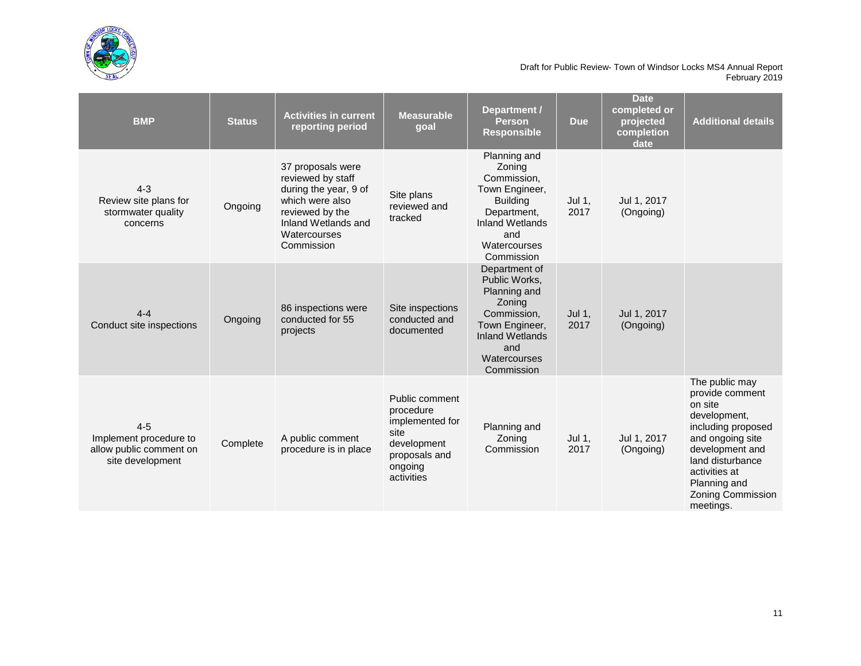

| <b>BMP</b>                                                                       | <b>Status</b> | <b>Activities in current</b><br>reporting period                                                                                                           | <b>Measurable</b><br>goal                                                                                       | Department /<br><b>Person</b><br><b>Responsible</b>                                                                                                      | <b>Due</b>     | <b>Date</b><br>completed or<br>projected<br>completion<br>date | <b>Additional details</b>                                                                                                                                                                                               |
|----------------------------------------------------------------------------------|---------------|------------------------------------------------------------------------------------------------------------------------------------------------------------|-----------------------------------------------------------------------------------------------------------------|----------------------------------------------------------------------------------------------------------------------------------------------------------|----------------|----------------------------------------------------------------|-------------------------------------------------------------------------------------------------------------------------------------------------------------------------------------------------------------------------|
| $4 - 3$<br>Review site plans for<br>stormwater quality<br>concerns               | Ongoing       | 37 proposals were<br>reviewed by staff<br>during the year, 9 of<br>which were also<br>reviewed by the<br>Inland Wetlands and<br>Watercourses<br>Commission | Site plans<br>reviewed and<br>tracked                                                                           | Planning and<br>Zoning<br>Commission,<br>Town Engineer,<br><b>Building</b><br>Department,<br><b>Inland Wetlands</b><br>and<br>Watercourses<br>Commission | Jul 1,<br>2017 | Jul 1, 2017<br>(Ongoing)                                       |                                                                                                                                                                                                                         |
| $4 - 4$<br>Conduct site inspections                                              | Ongoing       | 86 inspections were<br>conducted for 55<br>projects                                                                                                        | Site inspections<br>conducted and<br>documented                                                                 | Department of<br>Public Works,<br>Planning and<br>Zoning<br>Commission,<br>Town Engineer,<br><b>Inland Wetlands</b><br>and<br>Watercourses<br>Commission | Jul 1,<br>2017 | Jul 1, 2017<br>(Ongoing)                                       |                                                                                                                                                                                                                         |
| $4 - 5$<br>Implement procedure to<br>allow public comment on<br>site development | Complete      | A public comment<br>procedure is in place                                                                                                                  | Public comment<br>procedure<br>implemented for<br>site<br>development<br>proposals and<br>ongoing<br>activities | Planning and<br>Zoning<br>Commission                                                                                                                     | Jul 1,<br>2017 | Jul 1, 2017<br>(Ongoing)                                       | The public may<br>provide comment<br>on site<br>development,<br>including proposed<br>and ongoing site<br>development and<br>land disturbance<br>activities at<br>Planning and<br><b>Zoning Commission</b><br>meetings. |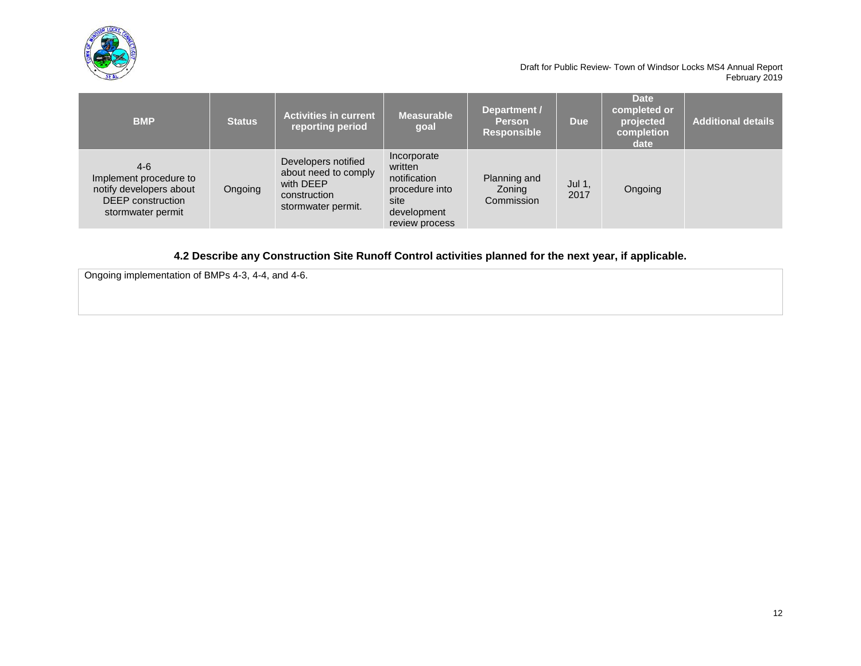

| <b>BMP</b>                                                                                                  | <b>Status</b> | <b>Activities in current</b><br>reporting period                                               | <b>Measurable</b><br>goal                                                                         | Department /<br><b>Person</b><br><b>Responsible</b> | <b>Due</b>     | <b>Date</b><br>completed or<br>projected<br>completion<br>date | <b>Additional details</b> |
|-------------------------------------------------------------------------------------------------------------|---------------|------------------------------------------------------------------------------------------------|---------------------------------------------------------------------------------------------------|-----------------------------------------------------|----------------|----------------------------------------------------------------|---------------------------|
| $4-6$<br>Implement procedure to<br>notify developers about<br><b>DEEP</b> construction<br>stormwater permit | Ongoing       | Developers notified<br>about need to comply<br>with DEEP<br>construction<br>stormwater permit. | Incorporate<br>written<br>notification<br>procedure into<br>site<br>development<br>review process | Planning and<br>Zoning<br>Commission                | Jul 1,<br>2017 | Ongoing                                                        |                           |

**4.2 Describe any Construction Site Runoff Control activities planned for the next year, if applicable.**

Ongoing implementation of BMPs 4-3, 4-4, and 4-6.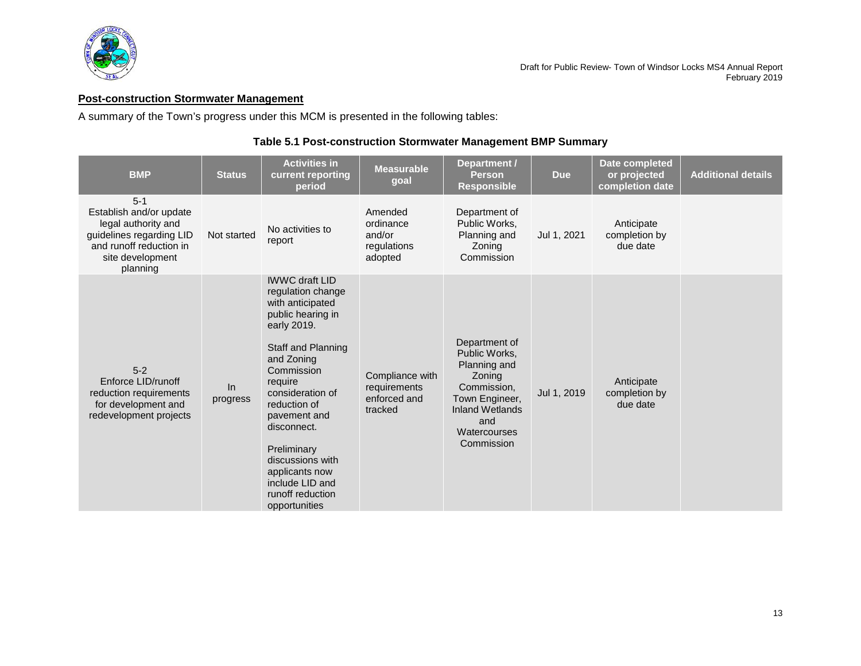

# <span id="page-14-0"></span>**Post-construction Stormwater Management**

A summary of the Town's progress under this MCM is presented in the following tables:

# **Table 5.1 Post-construction Stormwater Management BMP Summary**

| <b>BMP</b>                                                                                                                                       | <b>Status</b>  | <b>Activities in</b><br>current reporting<br>period                                                                                                                                                                                                                                                                                                    | <b>Measurable</b><br>goal                                  | Department /<br><b>Person</b><br><b>Responsible</b>                                                                                                      | <b>Due</b>  | Date completed<br>or projected<br>completion date | <b>Additional details</b> |
|--------------------------------------------------------------------------------------------------------------------------------------------------|----------------|--------------------------------------------------------------------------------------------------------------------------------------------------------------------------------------------------------------------------------------------------------------------------------------------------------------------------------------------------------|------------------------------------------------------------|----------------------------------------------------------------------------------------------------------------------------------------------------------|-------------|---------------------------------------------------|---------------------------|
| $5 - 1$<br>Establish and/or update<br>legal authority and<br>guidelines regarding LID<br>and runoff reduction in<br>site development<br>planning | Not started    | No activities to<br>report                                                                                                                                                                                                                                                                                                                             | Amended<br>ordinance<br>and/or<br>regulations<br>adopted   | Department of<br>Public Works,<br>Planning and<br>Zoning<br>Commission                                                                                   | Jul 1, 2021 | Anticipate<br>completion by<br>due date           |                           |
| $5 - 2$<br>Enforce LID/runoff<br>reduction requirements<br>for development and<br>redevelopment projects                                         | In<br>progress | <b>IWWC draft LID</b><br>regulation change<br>with anticipated<br>public hearing in<br>early 2019.<br><b>Staff and Planning</b><br>and Zoning<br>Commission<br>require<br>consideration of<br>reduction of<br>pavement and<br>disconnect.<br>Preliminary<br>discussions with<br>applicants now<br>include LID and<br>runoff reduction<br>opportunities | Compliance with<br>requirements<br>enforced and<br>tracked | Department of<br>Public Works,<br>Planning and<br>Zoning<br>Commission,<br>Town Engineer,<br><b>Inland Wetlands</b><br>and<br>Watercourses<br>Commission | Jul 1, 2019 | Anticipate<br>completion by<br>due date           |                           |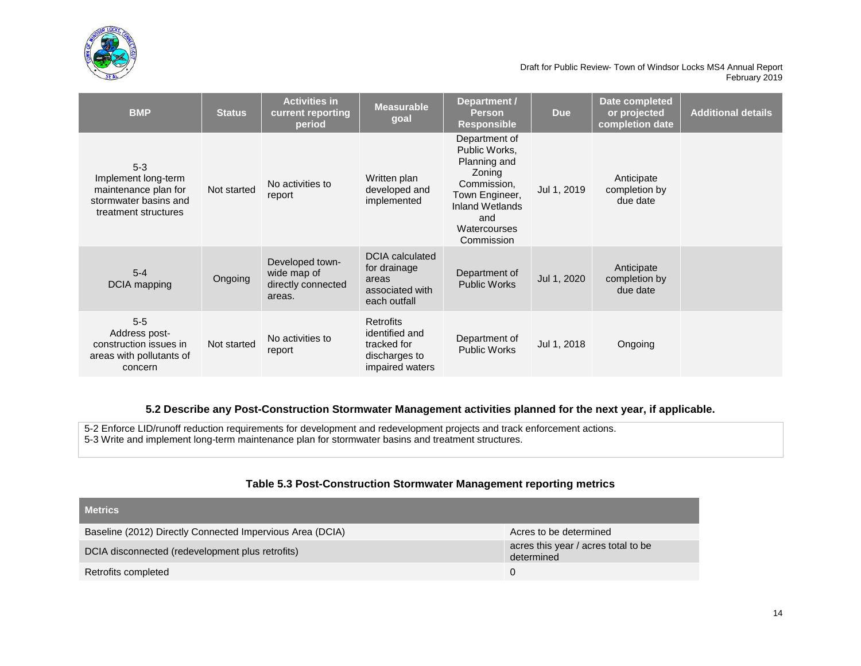

| <b>BMP</b>                                                                                              | <b>Status</b> | <b>Activities in</b><br>current reporting<br>period            | <b>Measurable</b><br>goal                                                          | Department /<br><b>Person</b><br><b>Responsible</b>                                                                                               | <b>Due</b>  | Date completed<br>or projected<br>completion date | <b>Additional details</b> |
|---------------------------------------------------------------------------------------------------------|---------------|----------------------------------------------------------------|------------------------------------------------------------------------------------|---------------------------------------------------------------------------------------------------------------------------------------------------|-------------|---------------------------------------------------|---------------------------|
| $5 - 3$<br>Implement long-term<br>maintenance plan for<br>stormwater basins and<br>treatment structures | Not started   | No activities to<br>report                                     | Written plan<br>developed and<br>implemented                                       | Department of<br>Public Works,<br>Planning and<br>Zoning<br>Commission,<br>Town Engineer,<br>Inland Wetlands<br>and<br>Watercourses<br>Commission | Jul 1, 2019 | Anticipate<br>completion by<br>due date           |                           |
| $5 - 4$<br><b>DCIA</b> mapping                                                                          | Ongoing       | Developed town-<br>wide map of<br>directly connected<br>areas. | <b>DCIA</b> calculated<br>for drainage<br>areas<br>associated with<br>each outfall | Department of<br><b>Public Works</b>                                                                                                              | Jul 1, 2020 | Anticipate<br>completion by<br>due date           |                           |
| $5-5$<br>Address post-<br>construction issues in<br>areas with pollutants of<br>concern                 | Not started   | No activities to<br>report                                     | Retrofits<br>identified and<br>tracked for<br>discharges to<br>impaired waters     | Department of<br><b>Public Works</b>                                                                                                              | Jul 1, 2018 | Ongoing                                           |                           |

# **5.2 Describe any Post-Construction Stormwater Management activities planned for the next year, if applicable.**

5-2 Enforce LID/runoff reduction requirements for development and redevelopment projects and track enforcement actions. 5-3 Write and implement long-term maintenance plan for stormwater basins and treatment structures.

# **Table 5.3 Post-Construction Stormwater Management reporting metrics**

| <b>Metrics</b>                                            |                                                   |
|-----------------------------------------------------------|---------------------------------------------------|
| Baseline (2012) Directly Connected Impervious Area (DCIA) | Acres to be determined                            |
| DCIA disconnected (redevelopment plus retrofits)          | acres this year / acres total to be<br>determined |
| Retrofits completed                                       | 0                                                 |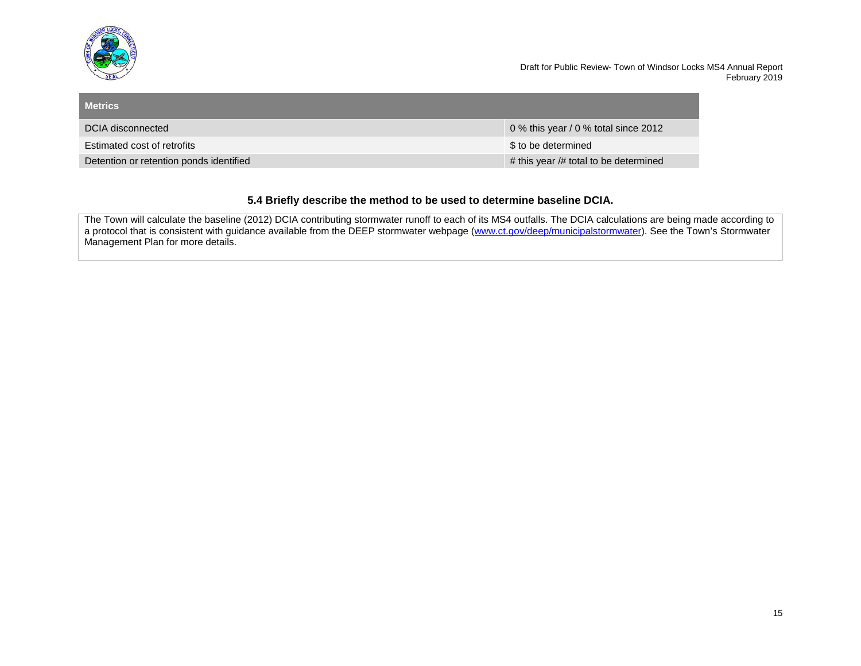

| <b>Metrics</b>                          |                                       |
|-----------------------------------------|---------------------------------------|
| DCIA disconnected                       | 0 % this year / 0 % total since 2012  |
| Estimated cost of retrofits             | \$ to be determined                   |
| Detention or retention ponds identified | # this year /# total to be determined |

# **5.4 Briefly describe the method to be used to determine baseline DCIA.**

The Town will calculate the baseline (2012) DCIA contributing stormwater runoff to each of its MS4 outfalls. The DCIA calculations are being made according to a protocol that is consistent with guidance available from the DEEP stormwater webpage [\(www.ct.gov/deep/municipalstormwater\)](http://www.ct.gov/deep/municipalstormwater). See the Town's Stormwater Management Plan for more details.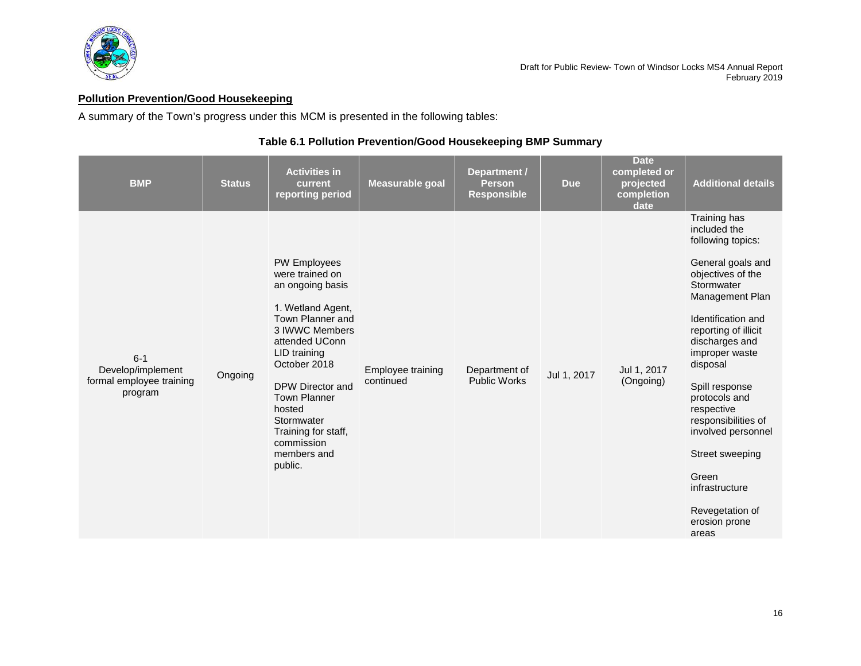

# <span id="page-17-0"></span>**Pollution Prevention/Good Housekeeping**

A summary of the Town's progress under this MCM is presented in the following tables:

# **Table 6.1 Pollution Prevention/Good Housekeeping BMP Summary**

| <b>BMP</b>                                                          | <b>Status</b> | <b>Activities in</b><br>current<br>reporting period                                                                                                                                                                                                                                                       | Measurable goal                | Department /<br><b>Person</b><br><b>Responsible</b> | <b>Due</b>  | <b>Date</b><br>completed or<br>projected<br>completion<br>date | <b>Additional details</b>                                                                                                                                                                                                                                                                                                                                                                                           |
|---------------------------------------------------------------------|---------------|-----------------------------------------------------------------------------------------------------------------------------------------------------------------------------------------------------------------------------------------------------------------------------------------------------------|--------------------------------|-----------------------------------------------------|-------------|----------------------------------------------------------------|---------------------------------------------------------------------------------------------------------------------------------------------------------------------------------------------------------------------------------------------------------------------------------------------------------------------------------------------------------------------------------------------------------------------|
| $6 - 1$<br>Develop/implement<br>formal employee training<br>program | Ongoing       | <b>PW Employees</b><br>were trained on<br>an ongoing basis<br>1. Wetland Agent,<br>Town Planner and<br>3 IWWC Members<br>attended UConn<br>LID training<br>October 2018<br>DPW Director and<br><b>Town Planner</b><br>hosted<br>Stormwater<br>Training for staff,<br>commission<br>members and<br>public. | Employee training<br>continued | Department of<br><b>Public Works</b>                | Jul 1, 2017 | Jul 1, 2017<br>(Ongoing)                                       | Training has<br>included the<br>following topics:<br>General goals and<br>objectives of the<br>Stormwater<br>Management Plan<br>Identification and<br>reporting of illicit<br>discharges and<br>improper waste<br>disposal<br>Spill response<br>protocols and<br>respective<br>responsibilities of<br>involved personnel<br>Street sweeping<br>Green<br>infrastructure<br>Revegetation of<br>erosion prone<br>areas |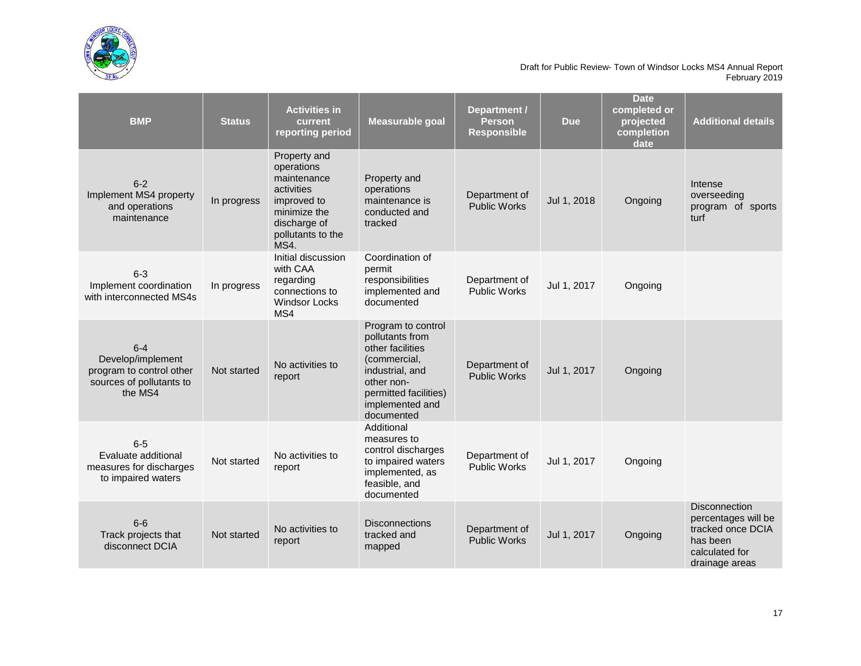

| <b>BMP</b>                                                                                      | <b>Status</b> | <b>Activities in</b><br>current<br>reporting period                                                                                 | Measurable goal                                                                                                                                                      | Department /<br><b>Person</b><br><b>Responsible</b> | <b>Due</b>  | <b>Date</b><br>completed or<br>projected<br>completion<br>date | <b>Additional details</b>                                                                                        |
|-------------------------------------------------------------------------------------------------|---------------|-------------------------------------------------------------------------------------------------------------------------------------|----------------------------------------------------------------------------------------------------------------------------------------------------------------------|-----------------------------------------------------|-------------|----------------------------------------------------------------|------------------------------------------------------------------------------------------------------------------|
| $6 - 2$<br>Implement MS4 property<br>and operations<br>maintenance                              | In progress   | Property and<br>operations<br>maintenance<br>activities<br>improved to<br>minimize the<br>discharge of<br>pollutants to the<br>MS4. | Property and<br>operations<br>maintenance is<br>conducted and<br>tracked                                                                                             | Department of<br><b>Public Works</b>                | Jul 1, 2018 | Ongoing                                                        | Intense<br>overseeding<br>program of sports<br>turf                                                              |
| $6 - 3$<br>Implement coordination<br>with interconnected MS4s                                   | In progress   | Initial discussion<br>with CAA<br>regarding<br>connections to<br><b>Windsor Locks</b><br>MS4                                        | Coordination of<br>permit<br>responsibilities<br>implemented and<br>documented                                                                                       | Department of<br><b>Public Works</b>                | Jul 1, 2017 | Ongoing                                                        |                                                                                                                  |
| $6 - 4$<br>Develop/implement<br>program to control other<br>sources of pollutants to<br>the MS4 | Not started   | No activities to<br>report                                                                                                          | Program to control<br>pollutants from<br>other facilities<br>(commercial,<br>industrial, and<br>other non-<br>permitted facilities)<br>implemented and<br>documented | Department of<br><b>Public Works</b>                | Jul 1, 2017 | Ongoing                                                        |                                                                                                                  |
| $6-5$<br>Evaluate additional<br>measures for discharges<br>to impaired waters                   | Not started   | No activities to<br>report                                                                                                          | Additional<br>measures to<br>control discharges<br>to impaired waters<br>implemented, as<br>feasible, and<br>documented                                              | Department of<br><b>Public Works</b>                | Jul 1, 2017 | Ongoing                                                        |                                                                                                                  |
| $6-6$<br>Track projects that<br>disconnect DCIA                                                 | Not started   | No activities to<br>report                                                                                                          | <b>Disconnections</b><br>tracked and<br>mapped                                                                                                                       | Department of<br><b>Public Works</b>                | Jul 1, 2017 | Ongoing                                                        | <b>Disconnection</b><br>percentages will be<br>tracked once DCIA<br>has been<br>calculated for<br>drainage areas |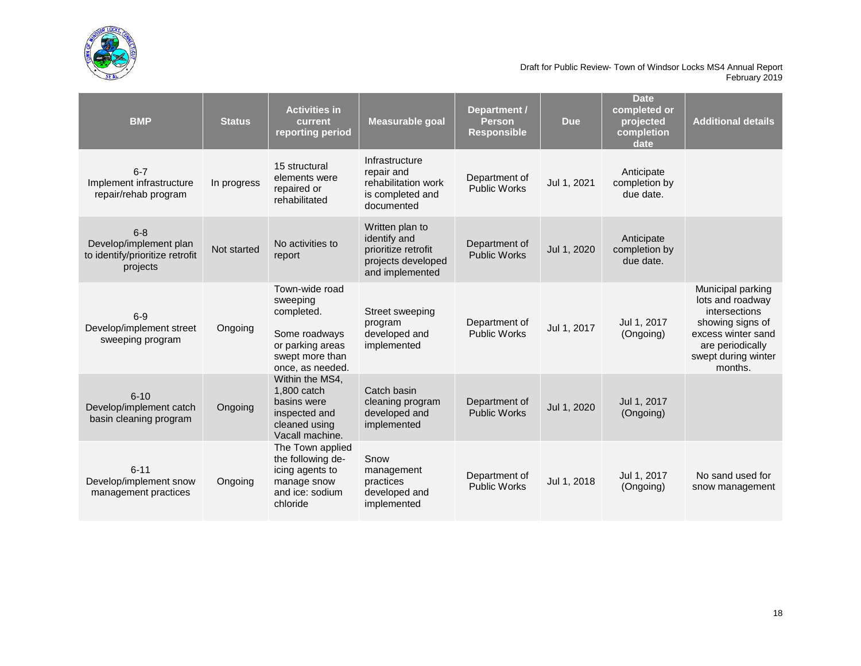

| <b>BMP</b>                                                                       | <b>Status</b> | <b>Activities in</b><br>current<br>reporting period                                                                  | <b>Measurable goal</b>                                                                          | Department /<br><b>Person</b><br><b>Responsible</b> | <b>Due</b>  | <b>Date</b><br>completed or<br>projected<br>completion<br>date | <b>Additional details</b>                                                                                                                                     |
|----------------------------------------------------------------------------------|---------------|----------------------------------------------------------------------------------------------------------------------|-------------------------------------------------------------------------------------------------|-----------------------------------------------------|-------------|----------------------------------------------------------------|---------------------------------------------------------------------------------------------------------------------------------------------------------------|
| $6 - 7$<br>Implement infrastructure<br>repair/rehab program                      | In progress   | 15 structural<br>elements were<br>repaired or<br>rehabilitated                                                       | Infrastructure<br>repair and<br>rehabilitation work<br>is completed and<br>documented           | Department of<br><b>Public Works</b>                | Jul 1, 2021 | Anticipate<br>completion by<br>due date.                       |                                                                                                                                                               |
| $6 - 8$<br>Develop/implement plan<br>to identify/prioritize retrofit<br>projects | Not started   | No activities to<br>report                                                                                           | Written plan to<br>identify and<br>prioritize retrofit<br>projects developed<br>and implemented | Department of<br><b>Public Works</b>                | Jul 1, 2020 | Anticipate<br>completion by<br>due date.                       |                                                                                                                                                               |
| $6-9$<br>Develop/implement street<br>sweeping program                            | Ongoing       | Town-wide road<br>sweeping<br>completed.<br>Some roadways<br>or parking areas<br>swept more than<br>once, as needed. | Street sweeping<br>program<br>developed and<br>implemented                                      | Department of<br><b>Public Works</b>                | Jul 1, 2017 | Jul 1, 2017<br>(Ongoing)                                       | Municipal parking<br>lots and roadway<br><i>intersections</i><br>showing signs of<br>excess winter sand<br>are periodically<br>swept during winter<br>months. |
| $6 - 10$<br>Develop/implement catch<br>basin cleaning program                    | Ongoing       | Within the MS4,<br>1,800 catch<br>basins were<br>inspected and<br>cleaned using<br>Vacall machine.                   | Catch basin<br>cleaning program<br>developed and<br>implemented                                 | Department of<br><b>Public Works</b>                | Jul 1, 2020 | Jul 1, 2017<br>(Ongoing)                                       |                                                                                                                                                               |
| $6 - 11$<br>Develop/implement snow<br>management practices                       | Ongoing       | The Town applied<br>the following de-<br>icing agents to<br>manage snow<br>and ice: sodium<br>chloride               | Snow<br>management<br>practices<br>developed and<br>implemented                                 | Department of<br><b>Public Works</b>                | Jul 1, 2018 | Jul 1, 2017<br>(Ongoing)                                       | No sand used for<br>snow management                                                                                                                           |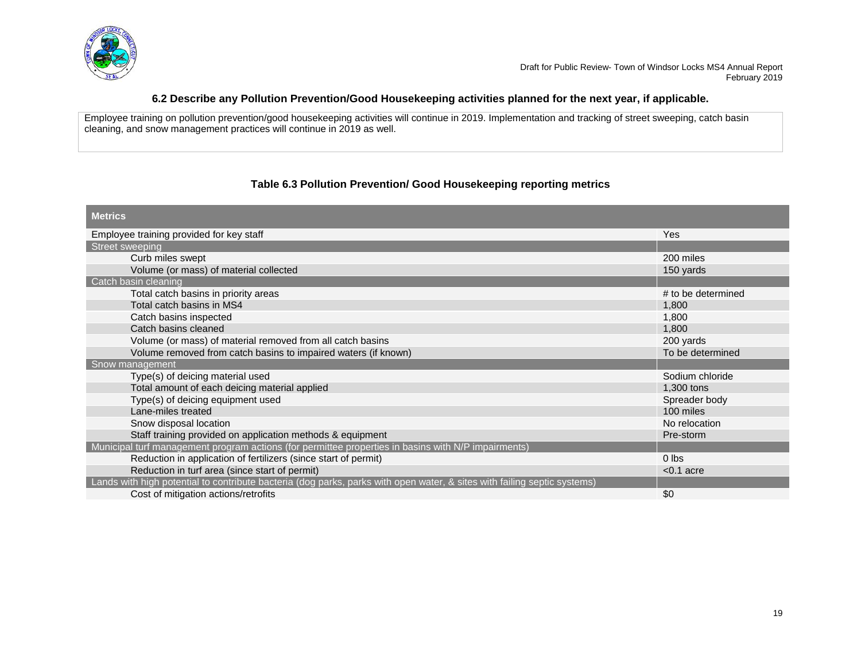

## **6.2 Describe any Pollution Prevention/Good Housekeeping activities planned for the next year, if applicable.**

Employee training on pollution prevention/good housekeeping activities will continue in 2019. Implementation and tracking of street sweeping, catch basin cleaning, and snow management practices will continue in 2019 as well.

# **Table 6.3 Pollution Prevention/ Good Housekeeping reporting metrics**

| <b>Metrics</b>                                                                                                           |                    |
|--------------------------------------------------------------------------------------------------------------------------|--------------------|
| Employee training provided for key staff                                                                                 | Yes                |
| Street sweeping                                                                                                          |                    |
| Curb miles swept                                                                                                         | 200 miles          |
| Volume (or mass) of material collected                                                                                   | 150 yards          |
| Catch basin cleaning                                                                                                     |                    |
| Total catch basins in priority areas                                                                                     | # to be determined |
| Total catch basins in MS4                                                                                                | 1,800              |
| Catch basins inspected                                                                                                   | 1,800              |
| Catch basins cleaned                                                                                                     | 1,800              |
| Volume (or mass) of material removed from all catch basins                                                               | 200 yards          |
| Volume removed from catch basins to impaired waters (if known)                                                           | To be determined   |
| Snow management                                                                                                          |                    |
| Type(s) of deicing material used                                                                                         | Sodium chloride    |
| Total amount of each deicing material applied                                                                            | 1,300 tons         |
| Type(s) of deicing equipment used                                                                                        | Spreader body      |
| Lane-miles treated                                                                                                       | 100 miles          |
| Snow disposal location                                                                                                   | No relocation      |
| Staff training provided on application methods & equipment                                                               | Pre-storm          |
| Municipal turf management program actions (for permittee properties in basins with N/P impairments)                      |                    |
| Reduction in application of fertilizers (since start of permit)                                                          | $0$ lbs            |
| Reduction in turf area (since start of permit)                                                                           | $< 0.1$ acre       |
| Lands with high potential to contribute bacteria (dog parks, parks with open water, & sites with failing septic systems) |                    |
| Cost of mitigation actions/retrofits                                                                                     | \$0                |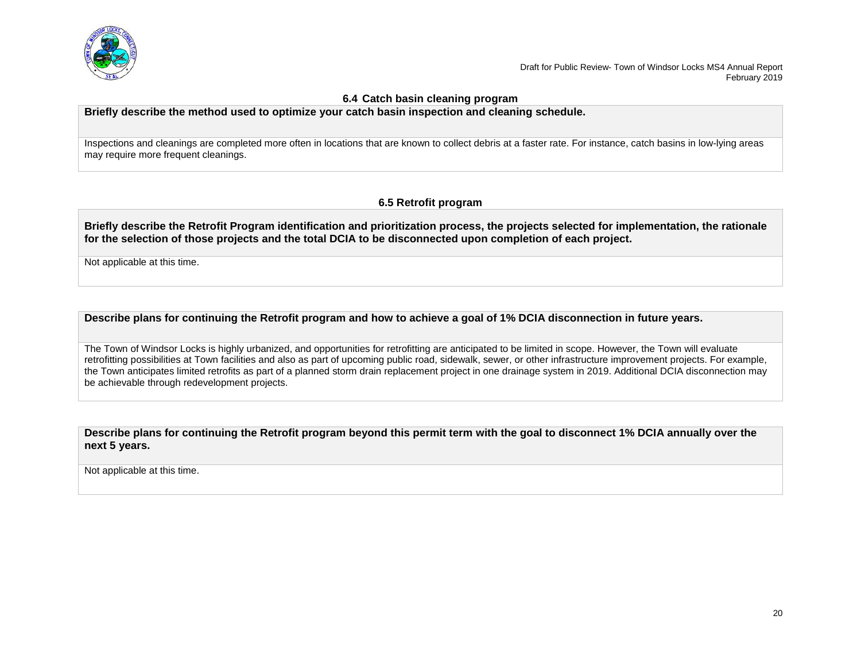

### **6.4 Catch basin cleaning program**

**Briefly describe the method used to optimize your catch basin inspection and cleaning schedule.**

Inspections and cleanings are completed more often in locations that are known to collect debris at a faster rate. For instance, catch basins in low-lying areas may require more frequent cleanings.

# **6.5 Retrofit program**

**Briefly describe the Retrofit Program identification and prioritization process, the projects selected for implementation, the rationale for the selection of those projects and the total DCIA to be disconnected upon completion of each project.** 

Not applicable at this time.

**Describe plans for continuing the Retrofit program and how to achieve a goal of 1% DCIA disconnection in future years.** 

The Town of Windsor Locks is highly urbanized, and opportunities for retrofitting are anticipated to be limited in scope. However, the Town will evaluate retrofitting possibilities at Town facilities and also as part of upcoming public road, sidewalk, sewer, or other infrastructure improvement projects. For example, the Town anticipates limited retrofits as part of a planned storm drain replacement project in one drainage system in 2019. Additional DCIA disconnection may be achievable through redevelopment projects.

**Describe plans for continuing the Retrofit program beyond this permit term with the goal to disconnect 1% DCIA annually over the next 5 years.** 

Not applicable at this time.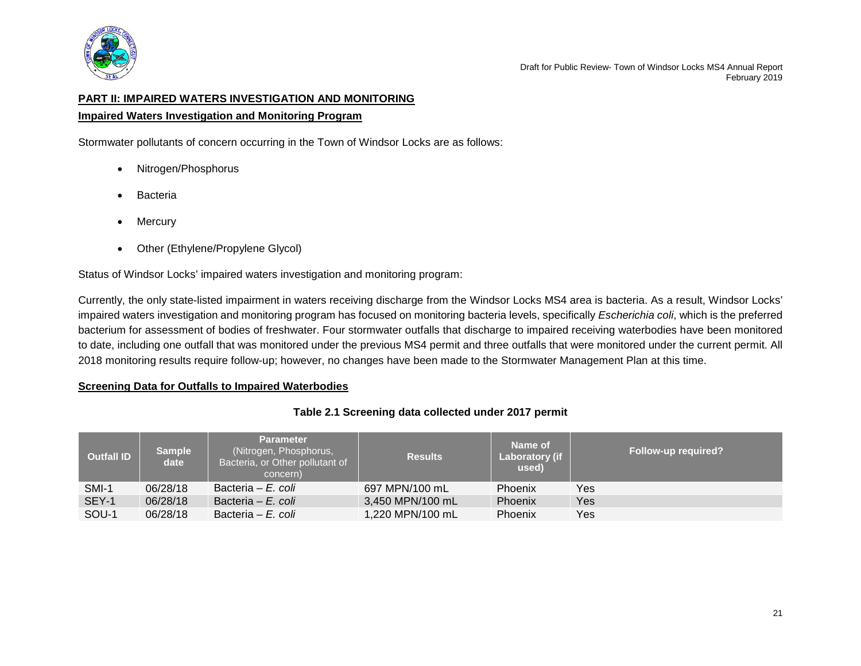

# <span id="page-22-0"></span>**PART II: IMPAIRED WATERS INVESTIGATION AND MONITORING**

## **Impaired Waters Investigation and Monitoring Program**

Stormwater pollutants of concern occurring in the Town of Windsor Locks are as follows:

- Nitrogen/Phosphorus
- **Bacteria**
- Mercury
- Other (Ethylene/Propylene Glycol)

Status of Windsor Locks' impaired waters investigation and monitoring program:

Currently, the only state-listed impairment in waters receiving discharge from the Windsor Locks MS4 area is bacteria. As a result, Windsor Locks' impaired waters investigation and monitoring program has focused on monitoring bacteria levels, specifically *Escherichia coli*, which is the preferred bacterium for assessment of bodies of freshwater. Four stormwater outfalls that discharge to impaired receiving waterbodies have been monitored to date, including one outfall that was monitored under the previous MS4 permit and three outfalls that were monitored under the current permit. All 2018 monitoring results require follow-up; however, no changes have been made to the Stormwater Management Plan at this time.

## **Screening Data for Outfalls to Impaired Waterbodies**

# **Table 2.1 Screening data collected under 2017 permit**

| <b>Outfall ID</b> | <b>Sample</b><br>date | <b>Parameter</b><br>(Nitrogen, Phosphorus,<br>Bacteria, or Other pollutant of<br>concern) | <b>Results</b>   | Name of<br><b>Laboratory (if</b><br>used) | <b>Follow-up required?</b> |
|-------------------|-----------------------|-------------------------------------------------------------------------------------------|------------------|-------------------------------------------|----------------------------|
| SMI-1             | 06/28/18              | Bacteria – E. coli                                                                        | 697 MPN/100 mL   | <b>Phoenix</b>                            | Yes                        |
| SEY-1             | 06/28/18              | Bacteria – E. coli                                                                        | 3,450 MPN/100 mL | Phoenix                                   | Yes                        |
| SOU-1             | 06/28/18              | Bacteria – E. coli                                                                        | 1,220 MPN/100 mL | <b>Phoenix</b>                            | Yes                        |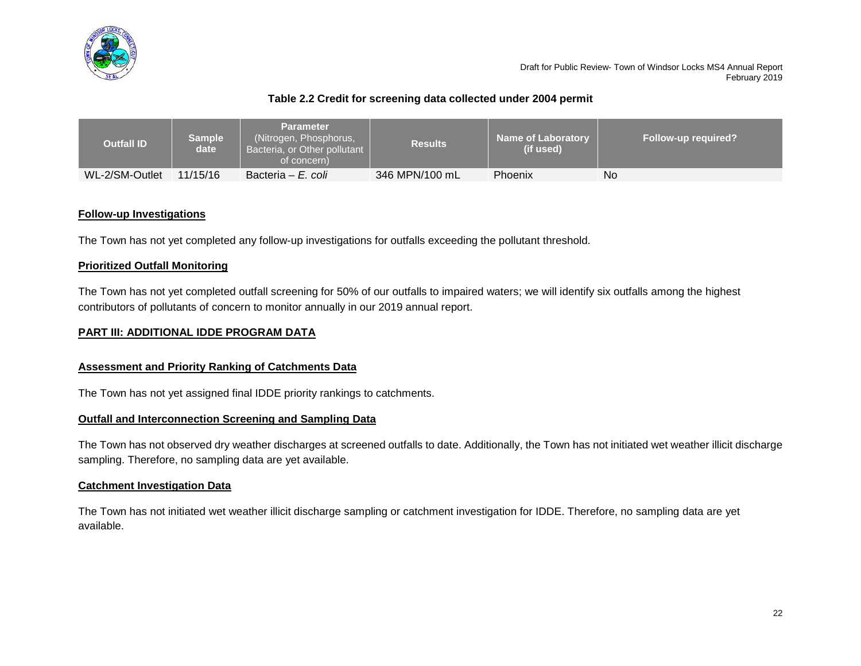

# **Table 2.2 Credit for screening data collected under 2004 permit**

| <b>Outfall ID</b> | <b>Sample</b><br>date i | Parameter<br>(Nitrogen, Phosphorus,<br>Bacteria, or Other pollutant  <br>of concern) | <b>Results</b> | <b>Name of Laboratory</b><br>(if used) | <b>Follow-up required?</b> |
|-------------------|-------------------------|--------------------------------------------------------------------------------------|----------------|----------------------------------------|----------------------------|
| WL-2/SM-Outlet    | 11/15/16                | Bacteria – E. coli                                                                   | 346 MPN/100 mL | Phoenix                                | No                         |

## **Follow-up Investigations**

The Town has not yet completed any follow-up investigations for outfalls exceeding the pollutant threshold.

# **Prioritized Outfall Monitoring**

The Town has not yet completed outfall screening for 50% of our outfalls to impaired waters; we will identify six outfalls among the highest contributors of pollutants of concern to monitor annually in our 2019 annual report.

# <span id="page-23-0"></span>**PART III: ADDITIONAL IDDE PROGRAM DATA**

## **Assessment and Priority Ranking of Catchments Data**

The Town has not yet assigned final IDDE priority rankings to catchments.

## **Outfall and Interconnection Screening and Sampling Data**

The Town has not observed dry weather discharges at screened outfalls to date. Additionally, the Town has not initiated wet weather illicit discharge sampling. Therefore, no sampling data are yet available.

# **Catchment Investigation Data**

The Town has not initiated wet weather illicit discharge sampling or catchment investigation for IDDE. Therefore, no sampling data are yet available.